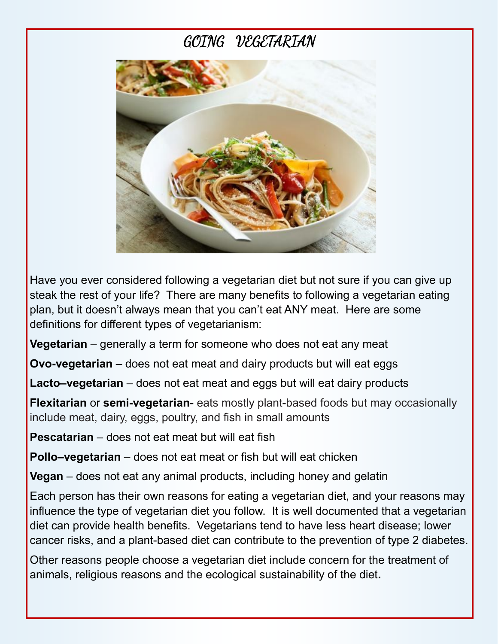# GOING VEGETARIAN



Have you ever considered following a vegetarian diet but not sure if you can give up steak the rest of your life? There are many benefits to following a vegetarian eating plan, but it doesn't always mean that you can't eat ANY meat. Here are some definitions for different types of vegetarianism:

**Vegetarian** – generally a term for someone who does not eat any meat

**Ovo-vegetarian** – does not eat meat and dairy products but will eat eggs

**Lacto–vegetarian** – does not eat meat and eggs but will eat dairy products

**Flexitarian** or **semi-vegetarian**- eats mostly plant-based foods but may occasionally include meat, dairy, eggs, poultry, and fish in small amounts

**Pescatarian** – does not eat meat but will eat fish

**Pollo–vegetarian** – does not eat meat or fish but will eat chicken

**Vegan** – does not eat any animal products, including honey and gelatin

Each person has their own reasons for eating a vegetarian diet, and your reasons may influence the type of vegetarian diet you follow. It is well documented that a vegetarian diet can provide health benefits. Vegetarians tend to have less heart disease; lower cancer risks, and a plant-based diet can contribute to the prevention of type 2 diabetes.

Other reasons people choose a vegetarian diet include concern for the treatment of animals, religious reasons and the ecological sustainability of the diet**.**